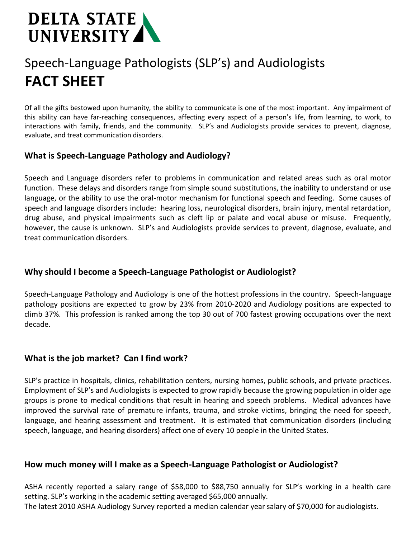# **DELTA STATE** UNIVERSITY

# Speech-Language Pathologists (SLP's) and Audiologists **FACT SHEET**

Of all the gifts bestowed upon humanity, the ability to communicate is one of the most important. Any impairment of this ability can have far-reaching consequences, affecting every aspect of a person's life, from learning, to work, to interactions with family, friends, and the community. SLP's and Audiologists provide services to prevent, diagnose, evaluate, and treat communication disorders.

#### **What is Speech-Language Pathology and Audiology?**

Speech and Language disorders refer to problems in communication and related areas such as oral motor function. These delays and disorders range from simple sound substitutions, the inability to understand or use language, or the ability to use the oral-motor mechanism for functional speech and feeding. Some causes of speech and language disorders include: hearing loss, neurological disorders, brain injury, mental retardation, drug abuse, and physical impairments such as cleft lip or palate and vocal abuse or misuse. Frequently, however, the cause is unknown. SLP's and Audiologists provide services to prevent, diagnose, evaluate, and treat communication disorders.

## **Why should I become a Speech-Language Pathologist or Audiologist?**

Speech-Language Pathology and Audiology is one of the hottest professions in the country. Speech-language pathology positions are expected to grow by 23% from 2010-2020 and Audiology positions are expected to climb 37%. This profession is ranked among the top 30 out of 700 fastest growing occupations over the next decade.

## **What is the job market? Can I find work?**

SLP's practice in hospitals, clinics, rehabilitation centers, nursing homes, public schools, and private practices. Employment of SLP's and Audiologists is expected to grow rapidly because the growing population in older age groups is prone to medical conditions that result in hearing and speech problems. Medical advances have improved the survival rate of premature infants, trauma, and stroke victims, bringing the need for speech, language, and hearing assessment and treatment. It is estimated that communication disorders (including speech, language, and hearing disorders) affect one of every 10 people in the United States.

#### **How much money will I make as a Speech-Language Pathologist or Audiologist?**

ASHA recently reported a salary range of \$58,000 to \$88,750 annually for SLP's working in a health care setting. SLP's working in the academic setting averaged \$65,000 annually.

The latest 2010 ASHA Audiology Survey reported a median calendar year salary of \$70,000 for audiologists.